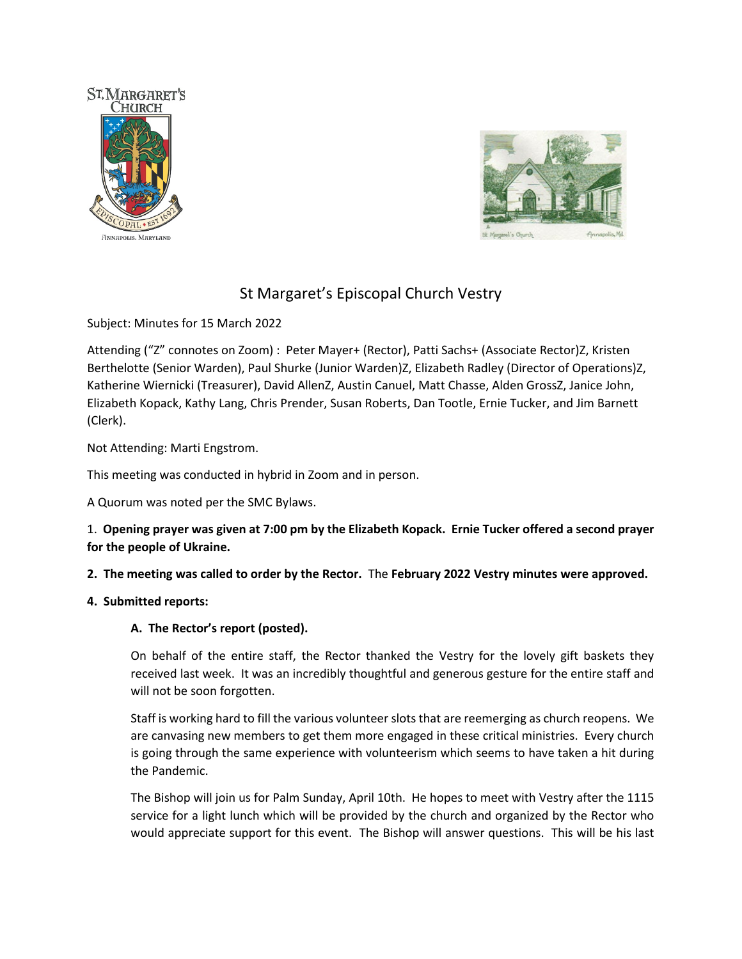



# St Margaret's Episcopal Church Vestry

Subject: Minutes for 15 March 2022

Attending ("Z" connotes on Zoom) : Peter Mayer+ (Rector), Patti Sachs+ (Associate Rector)Z, Kristen Berthelotte (Senior Warden), Paul Shurke (Junior Warden)Z, Elizabeth Radley (Director of Operations)Z, Katherine Wiernicki (Treasurer), David AllenZ, Austin Canuel, Matt Chasse, Alden GrossZ, Janice John, Elizabeth Kopack, Kathy Lang, Chris Prender, Susan Roberts, Dan Tootle, Ernie Tucker, and Jim Barnett (Clerk).

Not Attending: Marti Engstrom.

This meeting was conducted in hybrid in Zoom and in person.

A Quorum was noted per the SMC Bylaws.

1. **Opening prayer was given at 7:00 pm by the Elizabeth Kopack. Ernie Tucker offered a second prayer for the people of Ukraine.** 

**2. The meeting was called to order by the Rector.** The **February 2022 Vestry minutes were approved.** 

### **4. Submitted reports:**

# **A. The Rector's report (posted).**

On behalf of the entire staff, the Rector thanked the Vestry for the lovely gift baskets they received last week. It was an incredibly thoughtful and generous gesture for the entire staff and will not be soon forgotten.

Staff is working hard to fill the various volunteer slots that are reemerging as church reopens. We are canvasing new members to get them more engaged in these critical ministries. Every church is going through the same experience with volunteerism which seems to have taken a hit during the Pandemic.

The Bishop will join us for Palm Sunday, April 10th. He hopes to meet with Vestry after the 1115 service for a light lunch which will be provided by the church and organized by the Rector who would appreciate support for this event. The Bishop will answer questions. This will be his last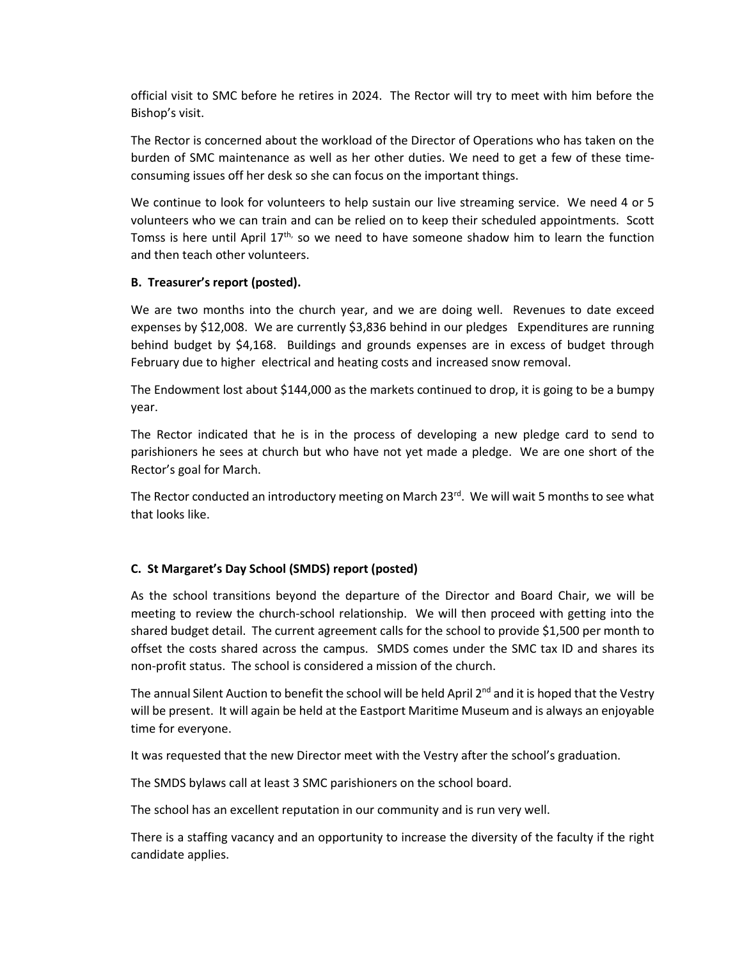official visit to SMC before he retires in 2024. The Rector will try to meet with him before the Bishop's visit.

The Rector is concerned about the workload of the Director of Operations who has taken on the burden of SMC maintenance as well as her other duties. We need to get a few of these timeconsuming issues off her desk so she can focus on the important things.

We continue to look for volunteers to help sustain our live streaming service. We need 4 or 5 volunteers who we can train and can be relied on to keep their scheduled appointments. Scott Tomss is here until April 17<sup>th,</sup> so we need to have someone shadow him to learn the function and then teach other volunteers.

### **B. Treasurer's report (posted).**

We are two months into the church year, and we are doing well. Revenues to date exceed expenses by \$12,008. We are currently \$3,836 behind in our pledges Expenditures are running behind budget by \$4,168. Buildings and grounds expenses are in excess of budget through February due to higher electrical and heating costs and increased snow removal.

The Endowment lost about \$144,000 as the markets continued to drop, it is going to be a bumpy year.

The Rector indicated that he is in the process of developing a new pledge card to send to parishioners he sees at church but who have not yet made a pledge. We are one short of the Rector's goal for March.

The Rector conducted an introductory meeting on March 23<sup>rd</sup>. We will wait 5 months to see what that looks like.

# **C. St Margaret's Day School (SMDS) report (posted)**

As the school transitions beyond the departure of the Director and Board Chair, we will be meeting to review the church-school relationship. We will then proceed with getting into the shared budget detail. The current agreement calls for the school to provide \$1,500 per month to offset the costs shared across the campus. SMDS comes under the SMC tax ID and shares its non-profit status. The school is considered a mission of the church.

The annual Silent Auction to benefit the school will be held April 2<sup>nd</sup> and it is hoped that the Vestry will be present. It will again be held at the Eastport Maritime Museum and is always an enjoyable time for everyone.

It was requested that the new Director meet with the Vestry after the school's graduation.

The SMDS bylaws call at least 3 SMC parishioners on the school board.

The school has an excellent reputation in our community and is run very well.

There is a staffing vacancy and an opportunity to increase the diversity of the faculty if the right candidate applies.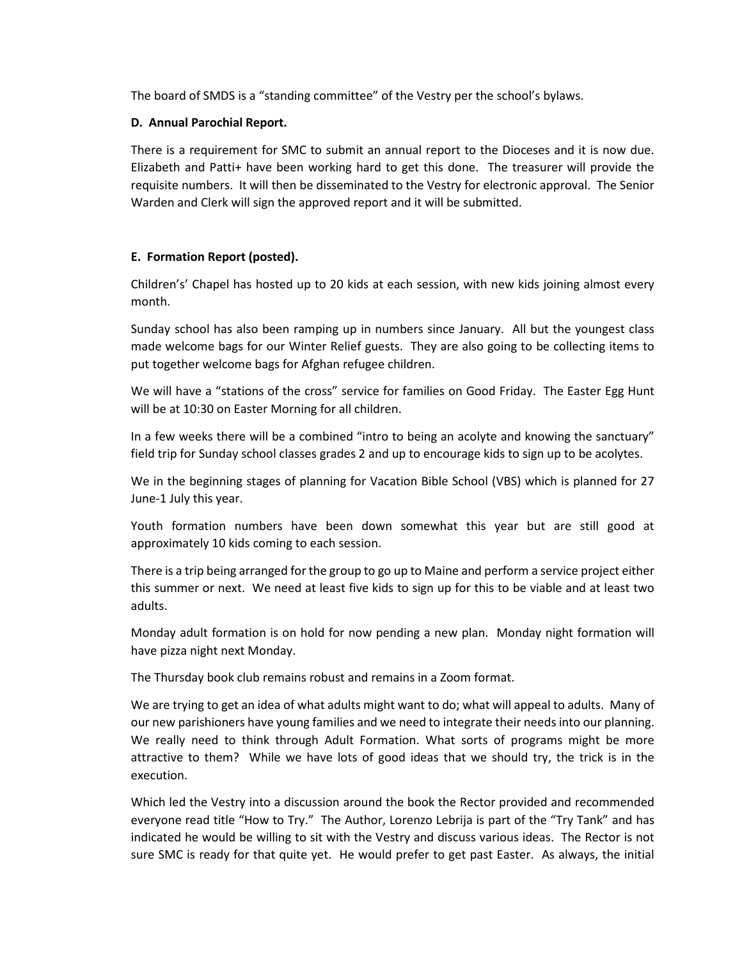The board of SMDS is a "standing committee" of the Vestry per the school's bylaws.

## **D. Annual Parochial Report.**

There is a requirement for SMC to submit an annual report to the Dioceses and it is now due. Elizabeth and Patti+ have been working hard to get this done. The treasurer will provide the requisite numbers. It will then be disseminated to the Vestry for electronic approval. The Senior Warden and Clerk will sign the approved report and it will be submitted.

# **E. Formation Report (posted).**

Children's' Chapel has hosted up to 20 kids at each session, with new kids joining almost every month.

Sunday school has also been ramping up in numbers since January. All but the youngest class made welcome bags for our Winter Relief guests. They are also going to be collecting items to put together welcome bags for Afghan refugee children.

We will have a "stations of the cross" service for families on Good Friday. The Easter Egg Hunt will be at 10:30 on Easter Morning for all children.

In a few weeks there will be a combined "intro to being an acolyte and knowing the sanctuary" field trip for Sunday school classes grades 2 and up to encourage kids to sign up to be acolytes.

We in the beginning stages of planning for Vacation Bible School (VBS) which is planned for 27 June-1 July this year.

Youth formation numbers have been down somewhat this year but are still good at approximately 10 kids coming to each session.

There is a trip being arranged for the group to go up to Maine and perform a service project either this summer or next. We need at least five kids to sign up for this to be viable and at least two adults.

Monday adult formation is on hold for now pending a new plan. Monday night formation will have pizza night next Monday.

The Thursday book club remains robust and remains in a Zoom format.

We are trying to get an idea of what adults might want to do; what will appeal to adults. Many of our new parishioners have young families and we need to integrate their needs into our planning. We really need to think through Adult Formation. What sorts of programs might be more attractive to them? While we have lots of good ideas that we should try, the trick is in the execution.

Which led the Vestry into a discussion around the book the Rector provided and recommended everyone read title "How to Try." The Author, Lorenzo Lebrija is part of the "Try Tank" and has indicated he would be willing to sit with the Vestry and discuss various ideas. The Rector is not sure SMC is ready for that quite yet. He would prefer to get past Easter. As always, the initial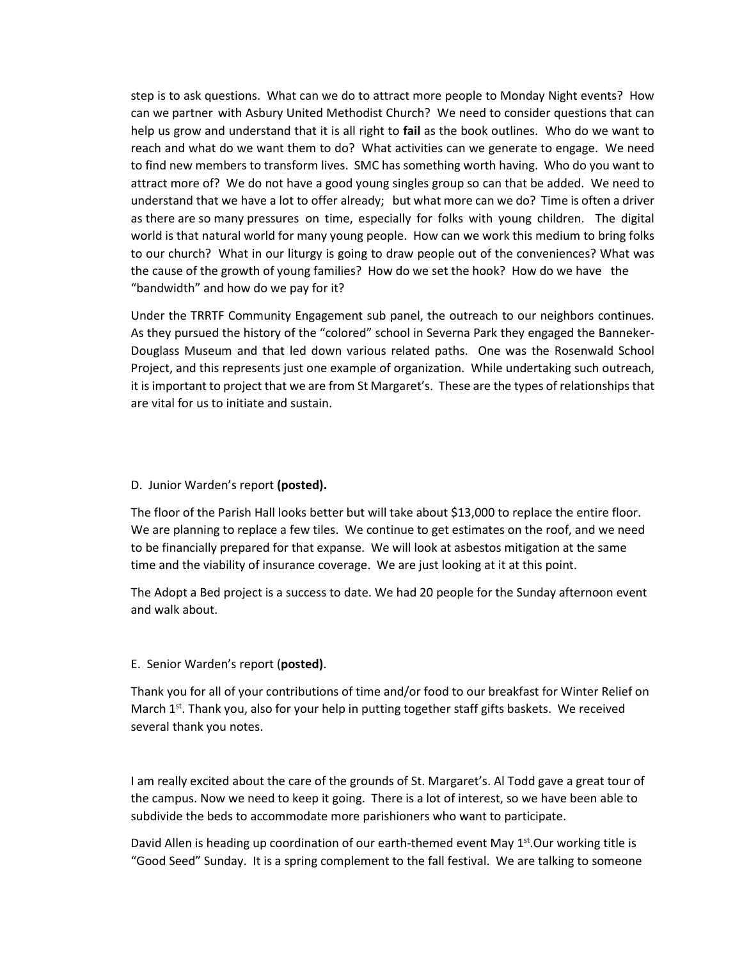step is to ask questions. What can we do to attract more people to Monday Night events? How can we partner with Asbury United Methodist Church? We need to consider questions that can help us grow and understand that it is all right to **fail** as the book outlines. Who do we want to reach and what do we want them to do? What activities can we generate to engage. We need to find new members to transform lives. SMC has something worth having. Who do you want to attract more of? We do not have a good young singles group so can that be added. We need to understand that we have a lot to offer already; but what more can we do? Time is often a driver as there are so many pressures on time, especially for folks with young children. The digital world is that natural world for many young people. How can we work this medium to bring folks to our church? What in our liturgy is going to draw people out of the conveniences? What was the cause of the growth of young families? How do we set the hook? How do we have the "bandwidth" and how do we pay for it?

Under the TRRTF Community Engagement sub panel, the outreach to our neighbors continues. As they pursued the history of the "colored" school in Severna Park they engaged the Banneker-Douglass Museum and that led down various related paths. One was the Rosenwald School Project, and this represents just one example of organization. While undertaking such outreach, it is important to project that we are from St Margaret's. These are the types of relationships that are vital for us to initiate and sustain.

#### D. Junior Warden's report **(posted).**

The floor of the Parish Hall looks better but will take about \$13,000 to replace the entire floor. We are planning to replace a few tiles. We continue to get estimates on the roof, and we need to be financially prepared for that expanse. We will look at asbestos mitigation at the same time and the viability of insurance coverage. We are just looking at it at this point.

The Adopt a Bed project is a success to date. We had 20 people for the Sunday afternoon event and walk about.

### E. Senior Warden's report (**posted)**.

Thank you for all of your contributions of time and/or food to our breakfast for Winter Relief on March  $1^{st}$ . Thank you, also for your help in putting together staff gifts baskets. We received several thank you notes.

I am really excited about the care of the grounds of St. Margaret's. Al Todd gave a great tour of the campus. Now we need to keep it going. There is a lot of interest, so we have been able to subdivide the beds to accommodate more parishioners who want to participate.

David Allen is heading up coordination of our earth-themed event May  $1<sup>st</sup>$ . Our working title is "Good Seed" Sunday. It is a spring complement to the fall festival. We are talking to someone